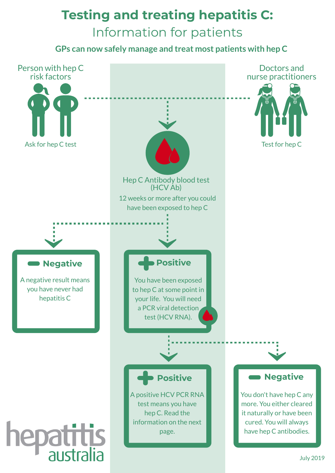# **Testing and treating hepatitis C:** Information for patients

**GPs can now safely manage and treat most patients with hep C**

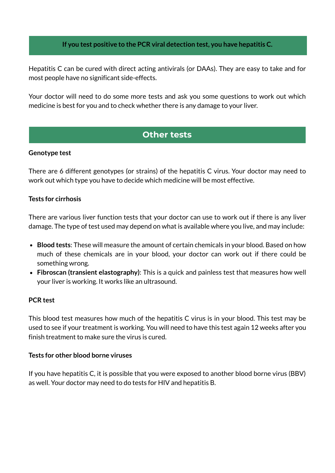# **If you test positive to the PCR viral detection test, you have hepatitis C.**

Hepatitis C can be cured with direct acting antivirals (or DAAs). They are easy to take and for most people have no significant side-effects.

Your doctor will need to do some more tests and ask you some questions to work out which medicine is best for you and to check whether there is any damage to your liver.

# **Other tests**

#### **Genotype test**

There are 6 different genotypes (or strains) of the hepatitis C virus. Your doctor may need to work out which type you have to decide which medicine will be most effective.

# **Tests for cirrhosis**

There are various liver function tests that your doctor can use to work out if there is any liver damage. The type of test used may depend on what is available where you live, and may include:

- **Blood tests**: These will measure the amount of certain chemicals in your blood. Based on how much of these chemicals are in your blood, your doctor can work out if there could be something wrong.
- **Fibroscan (transient elastography)**: This is a quick and painless test that measures how well your liver is working. It works like an ultrasound.

# **PCR test**

This blood test measures how much of the hepatitis C virus is in your blood. This test may be used to see if your treatment is working. You will need to have this test again 12 weeks after you finish treatment to make sure the virus is cured.

# **Tests for other blood borne viruses**

If you have hepatitis C, it is possible that you were exposed to another blood borne virus (BBV) as well. Your doctor may need to do tests for HIV and hepatitis B.